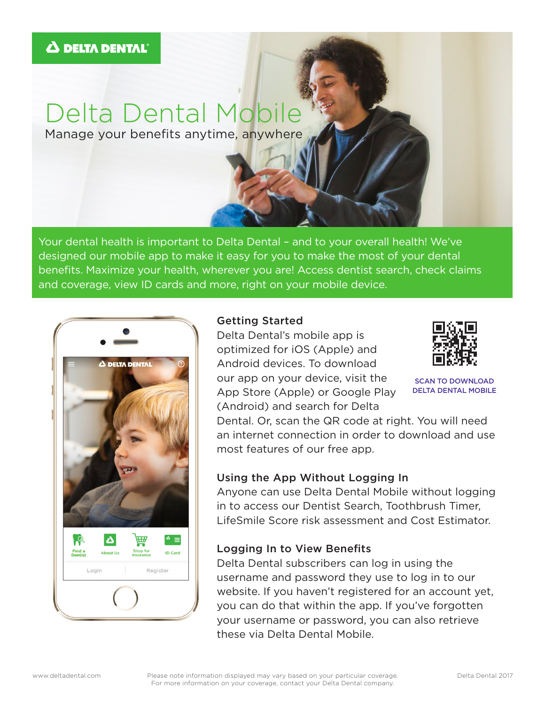# Delta Dental Mobile

Manage your benefits anytime, anywhere

Your dental health is important to Delta Dental – and to your overall health! We've designed our mobile app to make it easy for you to make the most of your dental benefits. Maximize your health, wherever you are! Access dentist search, check claims and coverage, view ID cards and more, right on your mobile device.



### Getting Started

Delta Dental's mobile app is optimized for iOS (Apple) and Android devices. To download our app on your device, visit the App Store (Apple) or Google Play (Android) and search for Delta



SCAN TO DOWNLOAD DELTA DENTAL MOBILE

Dental. Or, scan the QR code at right. You will need an internet connection in order to download and use most features of our free app.

# Using the App Without Logging In

Anyone can use Delta Dental Mobile without logging in to access our Dentist Search, Toothbrush Timer, LifeSmile Score risk assessment and Cost Estimator.

# Logging In to View Benefits

Delta Dental subscribers can log in using the username and password they use to log in to our website. If you haven't registered for an account yet, you can do that within the app. If you've forgotten your username or password, you can also retrieve these via Delta Dental Mobile.